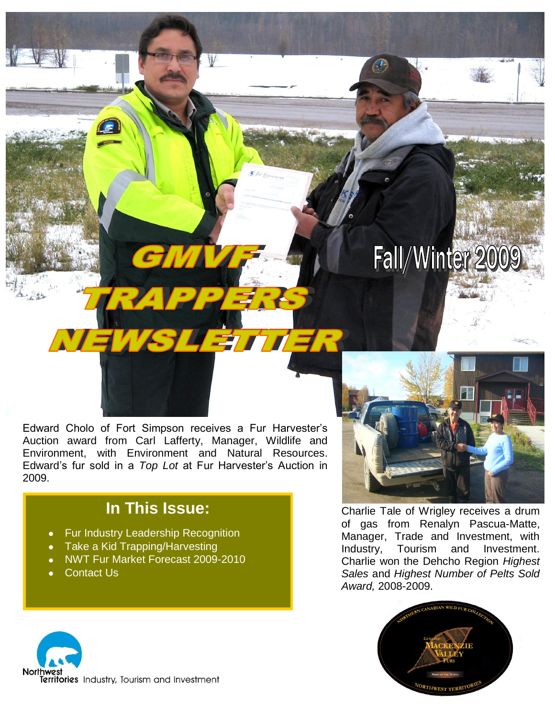# Fall/Winter 2009

Edward Cholo of Fort Simpson receives a Fur Harvester's Auction award from Carl Lafferty, Manager, Wildlife and Environment, with Environment and Natural Resources. Edward's fur sold in a *Top Lot* at Fur Harvester's Auction in 2009.

**SLETTI** 

### **In This Issue:**

- Fur Industry Leadership Recognition
- Take a Kid Trapping/Harvesting
- NWT Fur Market Forecast 2009-2010
- Contact Us



Charlie Tale of Wrigley receives a drum of gas from Renalyn Pascua-Matte, Manager, Trade and Investment, with Industry, Tourism and Investment. Charlie won the Dehcho Region *Highest Sales* and *Highest Number of Pelts Sold Award,* 2008-2009.



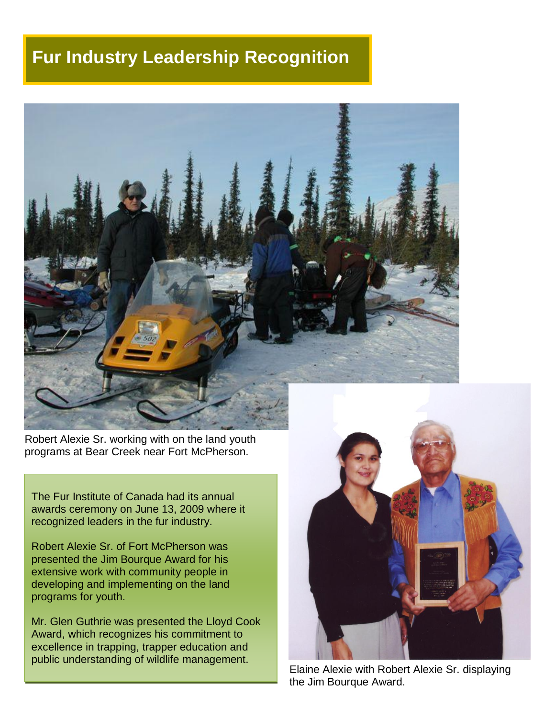### **Fur Industry Leadership Recognition**



Robert Alexie Sr. working with on the land youth programs at Bear Creek near Fort McPherson.

The Fur Institute of Canada had its annual awards ceremony on June 13, 2009 where it recognized leaders in the fur industry.

Robert Alexie Sr. of Fort McPherson was presented the Jim Bourque Award for his extensive work with community people in developing and implementing on the land programs for youth.

Mr. Glen Guthrie was presented the Lloyd Cook Award, which recognizes his commitment to excellence in trapping, trapper education and public understanding of wildlife management.



Elaine Alexie with Robert Alexie Sr. displaying the Jim Bourque Award.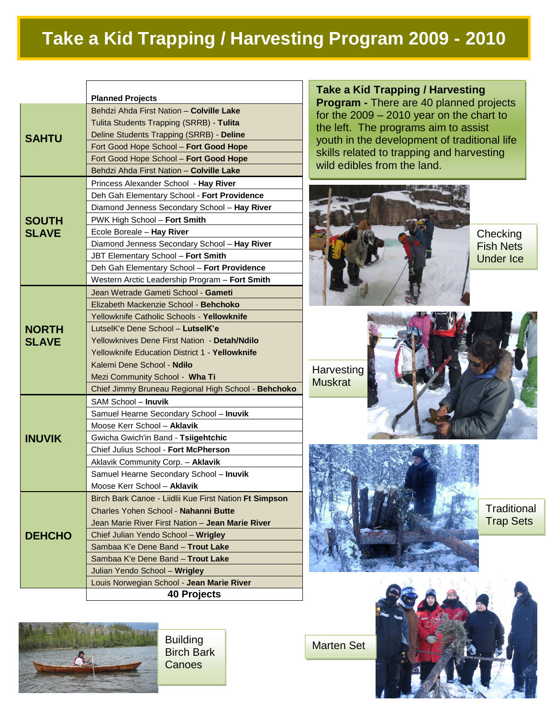# **Take a Kid Trapping / Harvesting Program 2009 - 2010**

|                              | <b>Planned Projects</b>                                |
|------------------------------|--------------------------------------------------------|
|                              | Behdzi Ahda First Nation - Colville Lake               |
| <b>SAHTU</b>                 | Tulita Students Trapping (SRRB) - Tulita               |
|                              | Deline Students Trapping (SRRB) - Deline               |
|                              | Fort Good Hope School - Fort Good Hope                 |
|                              | Fort Good Hope School - Fort Good Hope                 |
|                              | Behdzi Ahda First Nation - Colville Lake               |
| <b>SOUTH</b><br><b>SLAVE</b> | Princess Alexander School - Hay River                  |
|                              |                                                        |
|                              | Deh Gah Elementary School - Fort Providence            |
|                              | Diamond Jenness Secondary School - Hay River           |
|                              | PWK High School - Fort Smith                           |
|                              | Ecole Boreale - Hay River                              |
|                              | Diamond Jenness Secondary School - Hay River           |
|                              | JBT Elementary School - Fort Smith                     |
|                              | Deh Gah Elementary School - Fort Providence            |
|                              | Western Arctic Leadership Program - Fort Smith         |
| <b>NORTH</b><br><b>SLAVE</b> | Jean Wetrade Gameti School - Gameti                    |
|                              | Elizabeth Mackenzie School - Behchoko                  |
|                              | Yellowknife Catholic Schools - Yellowknife             |
|                              | LutselK'e Dene School - LutselK'e                      |
|                              | Yellowknives Dene First Nation - Detah/Ndilo           |
|                              | Yellowknife Education District 1 - Yellowknife         |
|                              | Kalemi Dene School - Ndilo                             |
|                              | Mezi Community School - Wha Ti                         |
|                              | Chief Jimmy Bruneau Regional High School - Behchoko    |
| <b>INUVIK</b>                | SAM School - Inuvik                                    |
|                              | Samuel Hearne Secondary School - Inuvik                |
|                              | Moose Kerr School - Aklavik                            |
|                              | Gwicha Gwich'in Band - Tsiigehtchic                    |
|                              | Chief Julius School - Fort McPherson                   |
|                              | Aklavik Community Corp. - Aklavik                      |
|                              | Samuel Hearne Secondary School - Inuvik                |
|                              | Moose Kerr School - Aklavik                            |
| <b>DEHCHO</b>                | Birch Bark Canoe - Liidlii Kue First Nation Ft Simpson |
|                              | Charles Yohen School - Nahanni Butte                   |
|                              | Jean Marie River First Nation - Jean Marie River       |
|                              | Chief Julian Yendo School - Wrigley                    |
|                              | Sambaa K'e Dene Band - Trout Lake                      |
|                              | Sambaa K'e Dene Band - Trout Lake                      |
|                              | Julian Yendo School - Wrigley                          |
|                              | Louis Norwegian School - Jean Marie River              |
|                              | <b>40 Projects</b>                                     |



**Building** Birch Bark **Canoes** 

**Take a Kid Trapping / Harvesting Program -** There are 40 planned projects for the 2009 – 2010 year on the chart to the left. The programs aim to assist youth in the development of traditional life skills related to trapping and harvesting wild edibles from the land.



**Checking** Fish Nets Under Ice

**Harvesting Muskrat** 

Marten Set





**Traditional** Trap Sets